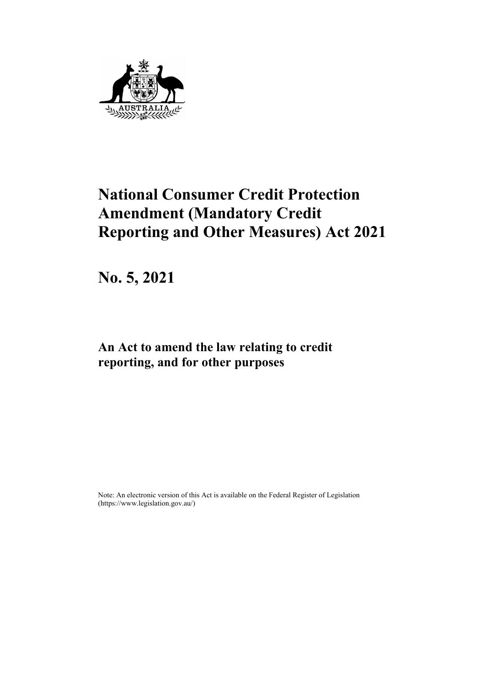

# **National Consumer Credit Protection Amendment (Mandatory Credit Reporting and Other Measures) Act 2021**

**No. 5, 2021**

**An Act to amend the law relating to credit reporting, and for other purposes**

Note: An electronic version of this Act is available on the Federal Register of Legislation [\(https://www.legislation.gov.au/\)](http://www.legislation.gov.au/)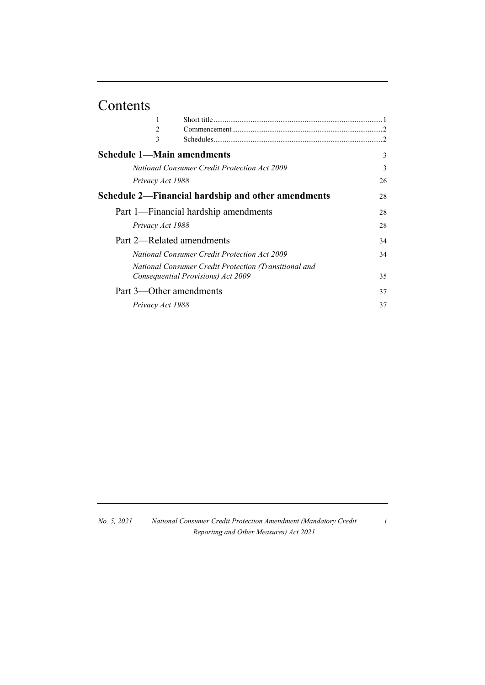# Contents

| 2                                 |                                                       |               |
|-----------------------------------|-------------------------------------------------------|---------------|
| 3                                 |                                                       | $\mathcal{L}$ |
| <b>Schedule 1—Main amendments</b> |                                                       | 3             |
|                                   | <b>National Consumer Credit Protection Act 2009</b>   | 3             |
| Privacy Act 1988                  |                                                       | 26            |
|                                   | Schedule 2—Financial hardship and other amendments    | 28            |
|                                   | Part 1—Financial hardship amendments                  | 28            |
| Privacy Act 1988                  |                                                       | 28            |
| Part 2—Related amendments         |                                                       | 34            |
|                                   | <b>National Consumer Credit Protection Act 2009</b>   | 34            |
|                                   | National Consumer Credit Protection (Transitional and |               |
|                                   | Consequential Provisions) Act 2009                    | 35            |
| Part 3—Other amendments           |                                                       | 37            |
| Privacy Act 1988                  |                                                       | 37            |

| No. 5, 2021 | National Consumer Credit Protection Amendment (Mandatory Credit |
|-------------|-----------------------------------------------------------------|
|             | Reporting and Other Measures) Act 2021                          |

*i*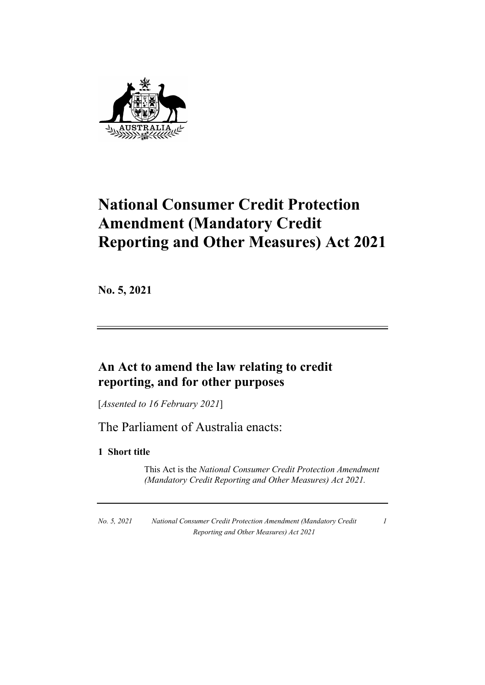

# **National Consumer Credit Protection Amendment (Mandatory Credit Reporting and Other Measures) Act 2021**

**No. 5, 2021**

# **An Act to amend the law relating to credit reporting, and for other purposes**

[*Assented to 16 February 2021*]

The Parliament of Australia enacts:

# **1 Short title**

This Act is the *National Consumer Credit Protection Amendment (Mandatory Credit Reporting and Other Measures) Act 2021.*

*No. 5, 2021 National Consumer Credit Protection Amendment (Mandatory Credit Reporting and Other Measures) Act 2021*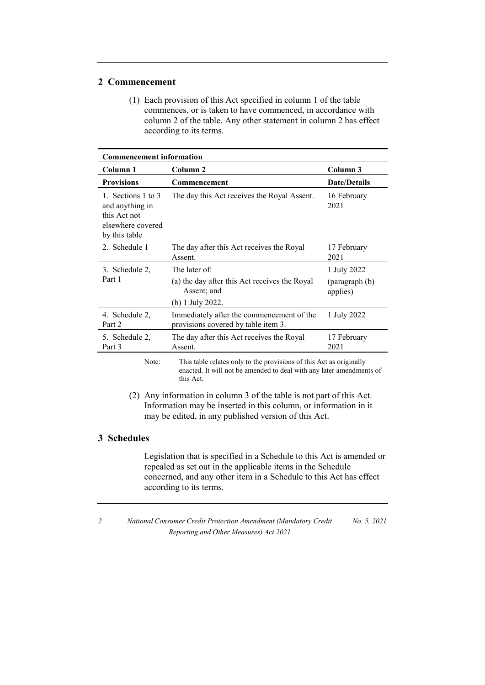### **2 Commencement**

(1) Each provision of this Act specified in column 1 of the table commences, or is taken to have commenced, in accordance with column 2 of the table. Any other statement in column 2 has effect according to its terms.

| <b>Commencement information</b>                                                             |                                                                                  |                            |
|---------------------------------------------------------------------------------------------|----------------------------------------------------------------------------------|----------------------------|
| Column 1                                                                                    | Column 2                                                                         | Column 3                   |
| <b>Provisions</b>                                                                           | Commencement                                                                     | <b>Date/Details</b>        |
| 1. Sections 1 to 3<br>and anything in<br>this Act not<br>elsewhere covered<br>by this table | The day this Act receives the Royal Assent.                                      | 16 February<br>2021        |
| 2. Schedule 1                                                                               | The day after this Act receives the Royal<br>Assent.                             | 17 February<br>2021        |
| 3. Schedule 2,                                                                              | The later of:                                                                    | 1 July 2022                |
| Part 1                                                                                      | (a) the day after this Act receives the Royal<br>Assent; and<br>(b) 1 July 2022. | (paragraph (b)<br>applies) |
| 4. Schedule 2,<br>Part 2                                                                    | Immediately after the commencement of the<br>provisions covered by table item 3. | 1 July 2022                |
| 5. Schedule 2,<br>Part 3                                                                    | The day after this Act receives the Royal<br>Assent.                             | 17 February<br>2021        |
| Note:                                                                                       | This table relates only to the provisions of this Act as originally              |                            |

Note: This table relates only to the provisions of this Act as originally enacted. It will not be amended to deal with any later amendments of this Act.

(2) Any information in column 3 of the table is not part of this Act. Information may be inserted in this column, or information in it may be edited, in any published version of this Act.

### **3 Schedules**

Legislation that is specified in a Schedule to this Act is amended or repealed as set out in the applicable items in the Schedule concerned, and any other item in a Schedule to this Act has effect according to its terms.

*<sup>2</sup> National Consumer Credit Protection Amendment (Mandatory Credit Reporting and Other Measures) Act 2021 No. 5, 2021*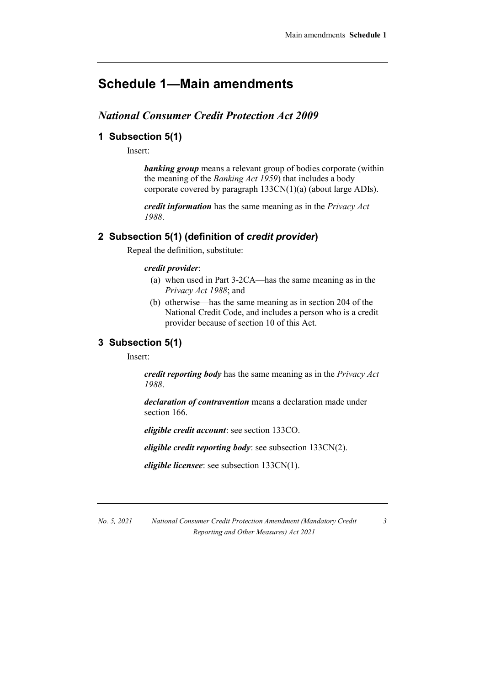# **Schedule 1—Main amendments**

# *National Consumer Credit Protection Act 2009*

### **1 Subsection 5(1)**

Insert:

*banking group* means a relevant group of bodies corporate (within the meaning of the *Banking Act 1959*) that includes a body corporate covered by paragraph 133CN(1)(a) (about large ADIs).

*credit information* has the same meaning as in the *Privacy Act 1988*.

### **2 Subsection 5(1) (definition of** *credit provider***)**

Repeal the definition, substitute:

### *credit provider*:

- (a) when used in Part 3-2CA—has the same meaning as in the *Privacy Act 1988*; and
- (b) otherwise—has the same meaning as in section 204 of the National Credit Code, and includes a person who is a credit provider because of section 10 of this Act.

### **3 Subsection 5(1)**

Insert:

*credit reporting body* has the same meaning as in the *Privacy Act 1988*.

*declaration of contravention* means a declaration made under section 166.

*eligible credit account*: see section 133CO.

*eligible credit reporting body*: see subsection 133CN(2).

*eligible licensee*: see subsection 133CN(1).

*No. 5, 2021 National Consumer Credit Protection Amendment (Mandatory Credit Reporting and Other Measures) Act 2021*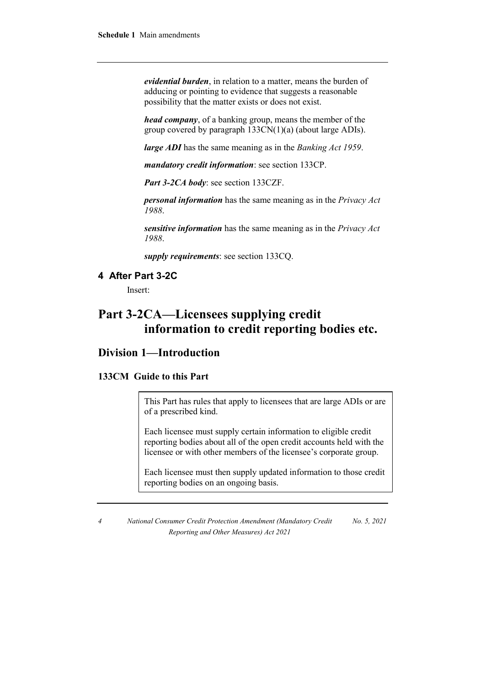*evidential burden*, in relation to a matter, means the burden of adducing or pointing to evidence that suggests a reasonable possibility that the matter exists or does not exist.

*head company*, of a banking group, means the member of the group covered by paragraph 133CN(1)(a) (about large ADIs).

*large ADI* has the same meaning as in the *Banking Act 1959*.

*mandatory credit information*: see section 133CP.

*Part 3-2CA body*: see section 133CZF.

*personal information* has the same meaning as in the *Privacy Act 1988*.

*sensitive information* has the same meaning as in the *Privacy Act 1988*.

*supply requirements*: see section 133CQ.

# **4 After Part 3-2C**

Insert:

# **Part 3-2CA—Licensees supplying credit information to credit reporting bodies etc.**

# **Division 1—Introduction**

### **133CM Guide to this Part**

This Part has rules that apply to licensees that are large ADIs or are of a prescribed kind.

Each licensee must supply certain information to eligible credit reporting bodies about all of the open credit accounts held with the licensee or with other members of the licensee's corporate group.

Each licensee must then supply updated information to those credit reporting bodies on an ongoing basis.

*4 National Consumer Credit Protection Amendment (Mandatory Credit Reporting and Other Measures) Act 2021 No. 5, 2021*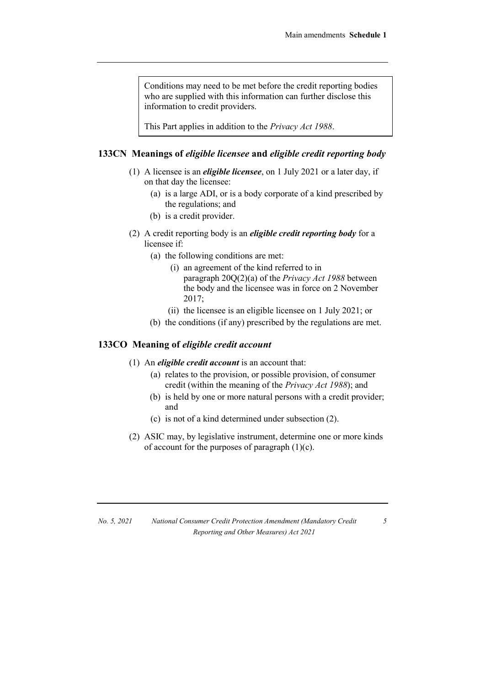Conditions may need to be met before the credit reporting bodies who are supplied with this information can further disclose this information to credit providers.

This Part applies in addition to the *Privacy Act 1988*.

### **133CN Meanings of** *eligible licensee* **and** *eligible credit reporting body*

- (1) A licensee is an *eligible licensee*, on 1 July 2021 or a later day, if on that day the licensee:
	- (a) is a large ADI, or is a body corporate of a kind prescribed by the regulations; and
	- (b) is a credit provider.
- (2) A credit reporting body is an *eligible credit reporting body* for a licensee if:
	- (a) the following conditions are met:
		- (i) an agreement of the kind referred to in paragraph 20Q(2)(a) of the *Privacy Act 1988* between the body and the licensee was in force on 2 November 2017;
		- (ii) the licensee is an eligible licensee on 1 July 2021; or
	- (b) the conditions (if any) prescribed by the regulations are met.

### **133CO Meaning of** *eligible credit account*

- (1) An *eligible credit account* is an account that:
	- (a) relates to the provision, or possible provision, of consumer credit (within the meaning of the *Privacy Act 1988*); and
	- (b) is held by one or more natural persons with a credit provider; and
	- (c) is not of a kind determined under subsection (2).
- (2) ASIC may, by legislative instrument, determine one or more kinds of account for the purposes of paragraph  $(1)(c)$ .

| No. 5, 2021 | National Consumer Credit Protection Amendment (Mandatory Credit) |
|-------------|------------------------------------------------------------------|
|             | Reporting and Other Measures) Act 2021                           |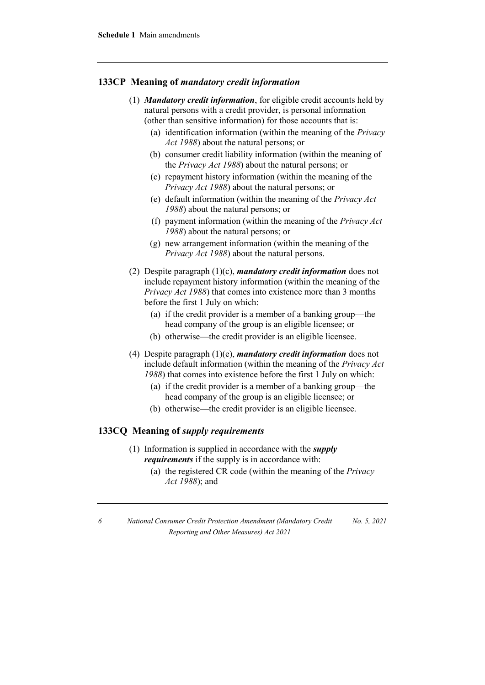### **133CP Meaning of** *mandatory credit information*

- (1) *Mandatory credit information*, for eligible credit accounts held by natural persons with a credit provider, is personal information (other than sensitive information) for those accounts that is:
	- (a) identification information (within the meaning of the *Privacy Act 1988*) about the natural persons; or
	- (b) consumer credit liability information (within the meaning of the *Privacy Act 1988*) about the natural persons; or
	- (c) repayment history information (within the meaning of the *Privacy Act 1988*) about the natural persons; or
	- (e) default information (within the meaning of the *Privacy Act 1988*) about the natural persons; or
	- (f) payment information (within the meaning of the *Privacy Act 1988*) about the natural persons; or
	- (g) new arrangement information (within the meaning of the *Privacy Act 1988*) about the natural persons.
- (2) Despite paragraph (1)(c), *mandatory credit information* does not include repayment history information (within the meaning of the *Privacy Act 1988*) that comes into existence more than 3 months before the first 1 July on which:
	- (a) if the credit provider is a member of a banking group—the head company of the group is an eligible licensee; or
	- (b) otherwise—the credit provider is an eligible licensee.
- (4) Despite paragraph (1)(e), *mandatory credit information* does not include default information (within the meaning of the *Privacy Act 1988*) that comes into existence before the first 1 July on which:
	- (a) if the credit provider is a member of a banking group—the head company of the group is an eligible licensee; or
	- (b) otherwise—the credit provider is an eligible licensee.

### **133CQ Meaning of** *supply requirements*

- (1) Information is supplied in accordance with the *supply requirements* if the supply is in accordance with:
	- (a) the registered CR code (within the meaning of the *Privacy Act 1988*); and

*<sup>6</sup> National Consumer Credit Protection Amendment (Mandatory Credit Reporting and Other Measures) Act 2021 No. 5, 2021*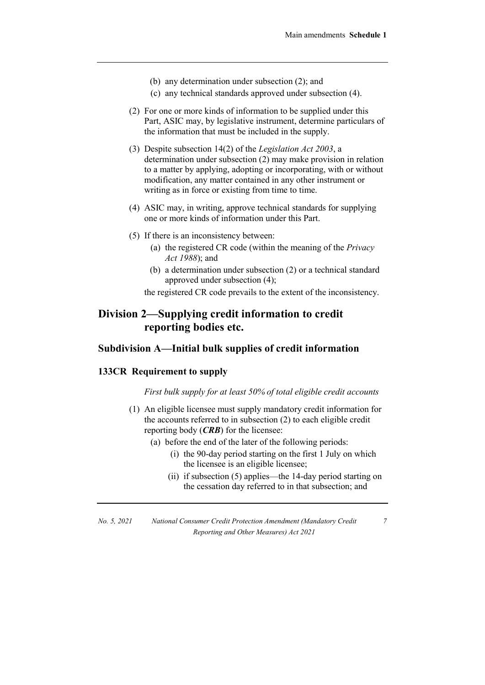- (b) any determination under subsection (2); and
- (c) any technical standards approved under subsection (4).
- (2) For one or more kinds of information to be supplied under this Part, ASIC may, by legislative instrument, determine particulars of the information that must be included in the supply.
- (3) Despite subsection 14(2) of the *Legislation Act 2003*, a determination under subsection (2) may make provision in relation to a matter by applying, adopting or incorporating, with or without modification, any matter contained in any other instrument or writing as in force or existing from time to time.
- (4) ASIC may, in writing, approve technical standards for supplying one or more kinds of information under this Part.
- (5) If there is an inconsistency between:
	- (a) the registered CR code (within the meaning of the *Privacy Act 1988*); and
	- (b) a determination under subsection (2) or a technical standard approved under subsection (4);

the registered CR code prevails to the extent of the inconsistency.

# **Division 2—Supplying credit information to credit reporting bodies etc.**

### **Subdivision A—Initial bulk supplies of credit information**

### **133CR Requirement to supply**

#### *First bulk supply for at least 50% of total eligible credit accounts*

- (1) An eligible licensee must supply mandatory credit information for the accounts referred to in subsection (2) to each eligible credit reporting body (*CRB*) for the licensee:
	- (a) before the end of the later of the following periods:
		- (i) the 90-day period starting on the first 1 July on which the licensee is an eligible licensee;
		- (ii) if subsection (5) applies—the 14-day period starting on the cessation day referred to in that subsection; and

*No. 5, 2021 National Consumer Credit Protection Amendment (Mandatory Credit Reporting and Other Measures) Act 2021*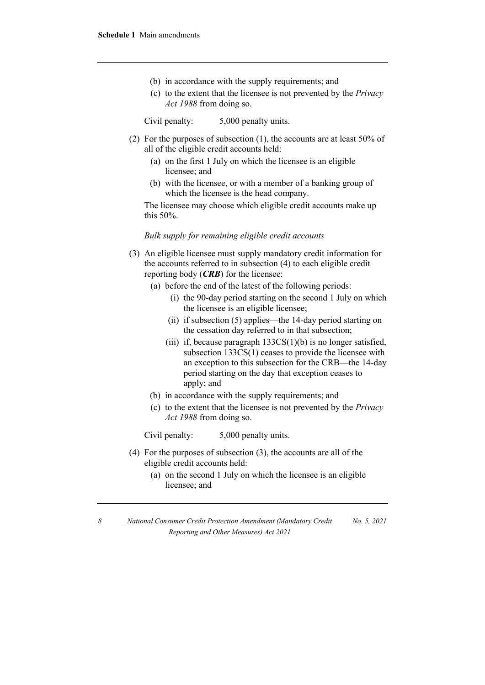- (b) in accordance with the supply requirements; and
- (c) to the extent that the licensee is not prevented by the *Privacy Act 1988* from doing so.

Civil penalty: 5,000 penalty units.

- (2) For the purposes of subsection (1), the accounts are at least 50% of all of the eligible credit accounts held:
	- (a) on the first 1 July on which the licensee is an eligible licensee; and
	- (b) with the licensee, or with a member of a banking group of which the licensee is the head company.

The licensee may choose which eligible credit accounts make up this 50%.

### *Bulk supply for remaining eligible credit accounts*

- (3) An eligible licensee must supply mandatory credit information for the accounts referred to in subsection (4) to each eligible credit reporting body (*CRB*) for the licensee:
	- (a) before the end of the latest of the following periods:
		- (i) the 90-day period starting on the second 1 July on which the licensee is an eligible licensee;
		- (ii) if subsection (5) applies—the 14-day period starting on the cessation day referred to in that subsection;
		- (iii) if, because paragraph  $133CS(1)(b)$  is no longer satisfied, subsection 133CS(1) ceases to provide the licensee with an exception to this subsection for the CRB—the 14-day period starting on the day that exception ceases to apply; and
	- (b) in accordance with the supply requirements; and
	- (c) to the extent that the licensee is not prevented by the *Privacy Act 1988* from doing so.

Civil penalty: 5,000 penalty units.

- (4) For the purposes of subsection (3), the accounts are all of the eligible credit accounts held:
	- (a) on the second 1 July on which the licensee is an eligible licensee; and

*<sup>8</sup> National Consumer Credit Protection Amendment (Mandatory Credit Reporting and Other Measures) Act 2021 No. 5, 2021*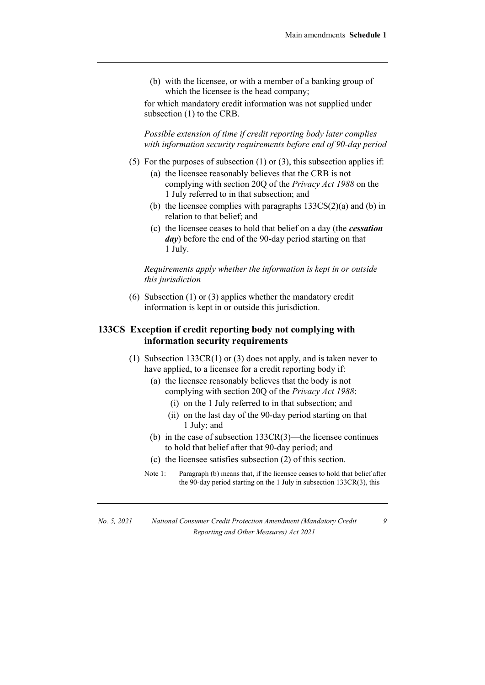(b) with the licensee, or with a member of a banking group of which the licensee is the head company;

for which mandatory credit information was not supplied under subsection (1) to the CRB.

*Possible extension of time if credit reporting body later complies with information security requirements before end of 90-day period*

- (5) For the purposes of subsection  $(1)$  or  $(3)$ , this subsection applies if:
	- (a) the licensee reasonably believes that the CRB is not complying with section 20Q of the *Privacy Act 1988* on the 1 July referred to in that subsection; and
	- (b) the licensee complies with paragraphs  $133CS(2)(a)$  and (b) in relation to that belief; and
	- (c) the licensee ceases to hold that belief on a day (the *cessation day*) before the end of the 90-day period starting on that 1 July.

*Requirements apply whether the information is kept in or outside this jurisdiction*

(6) Subsection (1) or (3) applies whether the mandatory credit information is kept in or outside this jurisdiction.

### **133CS Exception if credit reporting body not complying with information security requirements**

- (1) Subsection 133CR(1) or (3) does not apply, and is taken never to have applied, to a licensee for a credit reporting body if:
	- (a) the licensee reasonably believes that the body is not complying with section 20Q of the *Privacy Act 1988*:
		- (i) on the 1 July referred to in that subsection; and
		- (ii) on the last day of the 90-day period starting on that 1 July; and
	- (b) in the case of subsection 133CR(3)—the licensee continues to hold that belief after that 90-day period; and
	- (c) the licensee satisfies subsection (2) of this section.
	- Note 1: Paragraph (b) means that, if the licensee ceases to hold that belief after the 90-day period starting on the 1 July in subsection 133CR(3), this

*No. 5, 2021 National Consumer Credit Protection Amendment (Mandatory Credit Reporting and Other Measures) Act 2021*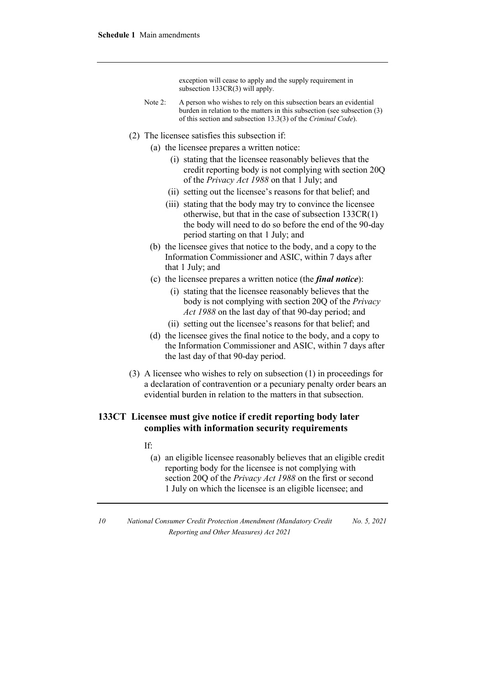exception will cease to apply and the supply requirement in subsection 133CR(3) will apply.

- Note 2: A person who wishes to rely on this subsection bears an evidential burden in relation to the matters in this subsection (see subsection (3) of this section and subsection 13.3(3) of the *Criminal Code*).
- (2) The licensee satisfies this subsection if:
	- (a) the licensee prepares a written notice:
		- (i) stating that the licensee reasonably believes that the credit reporting body is not complying with section 20Q of the *Privacy Act 1988* on that 1 July; and
		- (ii) setting out the licensee's reasons for that belief; and
		- (iii) stating that the body may try to convince the licensee otherwise, but that in the case of subsection 133CR(1) the body will need to do so before the end of the 90-day period starting on that 1 July; and
	- (b) the licensee gives that notice to the body, and a copy to the Information Commissioner and ASIC, within 7 days after that 1 July; and
	- (c) the licensee prepares a written notice (the *final notice*):
		- (i) stating that the licensee reasonably believes that the body is not complying with section 20Q of the *Privacy Act 1988* on the last day of that 90-day period; and
		- (ii) setting out the licensee's reasons for that belief; and
	- (d) the licensee gives the final notice to the body, and a copy to the Information Commissioner and ASIC, within 7 days after the last day of that 90-day period.
- (3) A licensee who wishes to rely on subsection (1) in proceedings for a declaration of contravention or a pecuniary penalty order bears an evidential burden in relation to the matters in that subsection.

### **133CT Licensee must give notice if credit reporting body later complies with information security requirements**

- If:
	- (a) an eligible licensee reasonably believes that an eligible credit reporting body for the licensee is not complying with section 20Q of the *Privacy Act 1988* on the first or second 1 July on which the licensee is an eligible licensee; and

*<sup>10</sup> National Consumer Credit Protection Amendment (Mandatory Credit Reporting and Other Measures) Act 2021 No. 5, 2021*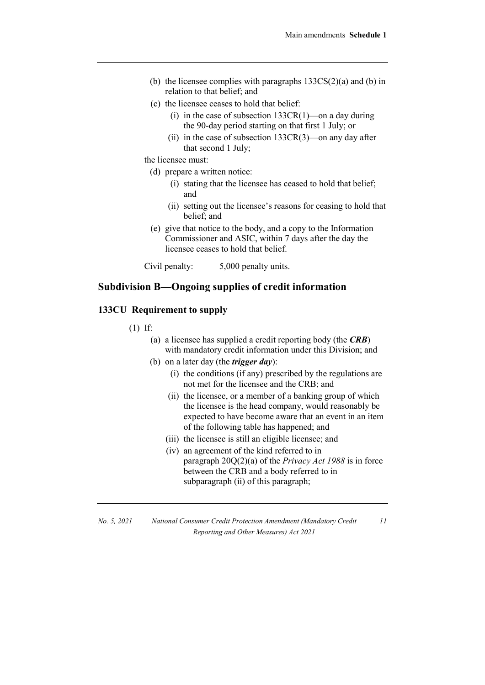- (b) the licensee complies with paragraphs  $133CS(2)(a)$  and (b) in relation to that belief; and
- (c) the licensee ceases to hold that belief:
	- (i) in the case of subsection  $133CR(1)$ —on a day during the 90-day period starting on that first 1 July; or
	- (ii) in the case of subsection  $133CR(3)$ —on any day after that second 1 July;

the licensee must:

(d) prepare a written notice:

- (i) stating that the licensee has ceased to hold that belief; and
- (ii) setting out the licensee's reasons for ceasing to hold that belief; and
- (e) give that notice to the body, and a copy to the Information Commissioner and ASIC, within 7 days after the day the licensee ceases to hold that belief.

Civil penalty: 5,000 penalty units.

### **Subdivision B—Ongoing supplies of credit information**

### **133CU Requirement to supply**

- (1) If:
	- (a) a licensee has supplied a credit reporting body (the *CRB*) with mandatory credit information under this Division; and
	- (b) on a later day (the *trigger day*):
		- (i) the conditions (if any) prescribed by the regulations are not met for the licensee and the CRB; and
		- (ii) the licensee, or a member of a banking group of which the licensee is the head company, would reasonably be expected to have become aware that an event in an item of the following table has happened; and
		- (iii) the licensee is still an eligible licensee; and
		- (iv) an agreement of the kind referred to in paragraph 20Q(2)(a) of the *Privacy Act 1988* is in force between the CRB and a body referred to in subparagraph (ii) of this paragraph;

| No. 5, 2021 | National Consumer Credit Protection Amendment (Mandatory Credit |
|-------------|-----------------------------------------------------------------|
|             | Reporting and Other Measures) Act 2021                          |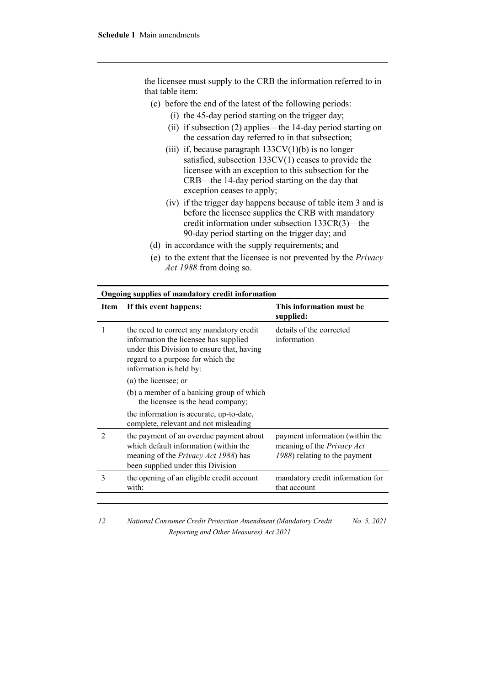the licensee must supply to the CRB the information referred to in that table item:

- (c) before the end of the latest of the following periods:
	- (i) the 45-day period starting on the trigger day;
	- (ii) if subsection (2) applies—the 14-day period starting on the cessation day referred to in that subsection;
	- (iii) if, because paragraph  $133CV(1)(b)$  is no longer satisfied, subsection 133CV(1) ceases to provide the licensee with an exception to this subsection for the CRB—the 14-day period starting on the day that exception ceases to apply;
	- (iv) if the trigger day happens because of table item 3 and is before the licensee supplies the CRB with mandatory credit information under subsection 133CR(3)—the 90-day period starting on the trigger day; and
- (d) in accordance with the supply requirements; and
- (e) to the extent that the licensee is not prevented by the *Privacy Act 1988* from doing so.

| Ongoing supplies of mandatory credit information |                                                                                                                                                                                                 |                                                                                                |
|--------------------------------------------------|-------------------------------------------------------------------------------------------------------------------------------------------------------------------------------------------------|------------------------------------------------------------------------------------------------|
| Item                                             | If this event happens:                                                                                                                                                                          | This information must be<br>supplied:                                                          |
|                                                  | the need to correct any mandatory credit<br>information the licensee has supplied<br>under this Division to ensure that, having<br>regard to a purpose for which the<br>information is held by: | details of the corrected<br>information                                                        |
|                                                  | (a) the licensee; or                                                                                                                                                                            |                                                                                                |
|                                                  | (b) a member of a banking group of which<br>the licensee is the head company;                                                                                                                   |                                                                                                |
|                                                  | the information is accurate, up-to-date,<br>complete, relevant and not misleading                                                                                                               |                                                                                                |
| $\mathfrak{D}$                                   | the payment of an overdue payment about<br>which default information (within the<br>meaning of the <i>Privacy Act 1988</i> ) has<br>been supplied under this Division                           | payment information (within the<br>meaning of the Privacy Act<br>1988) relating to the payment |
| 3                                                | the opening of an eligible credit account<br>with:                                                                                                                                              | mandatory credit information for<br>that account                                               |

*12 National Consumer Credit Protection Amendment (Mandatory Credit Reporting and Other Measures) Act 2021 No. 5, 2021*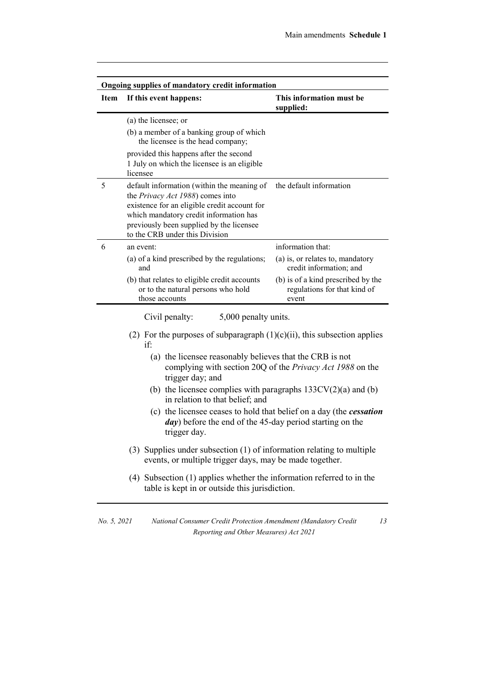| <b>Item</b> | Ongoing supplies of mandatory credit information<br>If this event happens:                                                                                                                                                                             | This information must be<br>supplied:                                       |
|-------------|--------------------------------------------------------------------------------------------------------------------------------------------------------------------------------------------------------------------------------------------------------|-----------------------------------------------------------------------------|
|             | (a) the licensee; or                                                                                                                                                                                                                                   |                                                                             |
|             | (b) a member of a banking group of which<br>the licensee is the head company;                                                                                                                                                                          |                                                                             |
|             | provided this happens after the second<br>1 July on which the licensee is an eligible<br>licensee                                                                                                                                                      |                                                                             |
| 5           | default information (within the meaning of<br>the Privacy Act 1988) comes into<br>existence for an eligible credit account for<br>which mandatory credit information has<br>previously been supplied by the licensee<br>to the CRB under this Division | the default information                                                     |
| 6           | an event:                                                                                                                                                                                                                                              | information that:                                                           |
|             | (a) of a kind prescribed by the regulations;<br>and                                                                                                                                                                                                    | (a) is, or relates to, mandatory<br>credit information; and                 |
|             | (b) that relates to eligible credit accounts<br>or to the natural persons who hold<br>those accounts                                                                                                                                                   | (b) is of a kind prescribed by the<br>regulations for that kind of<br>event |
|             | 5,000 penalty units.<br>Civil penalty:                                                                                                                                                                                                                 |                                                                             |
|             | (2) For the purposes of subparagraph $(1)(c)(ii)$ , this subsection applies<br>if:                                                                                                                                                                     |                                                                             |
|             | (a) the licensee reasonably believes that the CRB is not<br>trigger day; and                                                                                                                                                                           | complying with section 20Q of the <i>Privacy Act 1988</i> on the            |
|             | (b) the licensee complies with paragraphs $133CV(2)(a)$ and (b)<br>in relation to that belief; and                                                                                                                                                     |                                                                             |
|             | (c) the licensee ceases to hold that belief on a day (the cessation<br><i>day</i> ) before the end of the 45-day period starting on the<br>trigger day.                                                                                                |                                                                             |
|             | (3) Supplies under subsection (1) of information relating to multiple<br>events, or multiple trigger days, may be made together.                                                                                                                       |                                                                             |
|             | (4) Subsection (1) applies whether the information referred to in the<br>table is kept in or outside this jurisdiction.                                                                                                                                |                                                                             |

*No. 5, 2021 National Consumer Credit Protection Amendment (Mandatory Credit Reporting and Other Measures) Act 2021*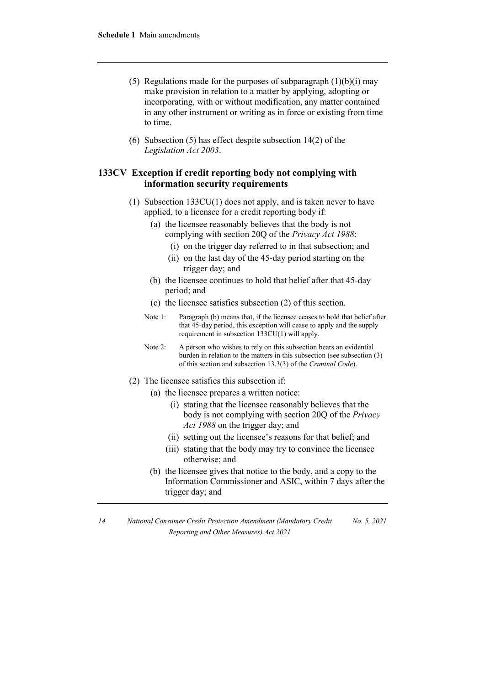- (5) Regulations made for the purposes of subparagraph  $(1)(b)(i)$  may make provision in relation to a matter by applying, adopting or incorporating, with or without modification, any matter contained in any other instrument or writing as in force or existing from time to time.
- (6) Subsection (5) has effect despite subsection 14(2) of the *Legislation Act 2003*.

### **133CV Exception if credit reporting body not complying with information security requirements**

- (1) Subsection 133CU(1) does not apply, and is taken never to have applied, to a licensee for a credit reporting body if:
	- (a) the licensee reasonably believes that the body is not complying with section 20Q of the *Privacy Act 1988*:
		- (i) on the trigger day referred to in that subsection; and
		- (ii) on the last day of the 45-day period starting on the trigger day; and
	- (b) the licensee continues to hold that belief after that 45-day period; and
	- (c) the licensee satisfies subsection (2) of this section.
	- Note 1: Paragraph (b) means that, if the licensee ceases to hold that belief after that 45-day period, this exception will cease to apply and the supply requirement in subsection 133CU(1) will apply.
	- Note 2: A person who wishes to rely on this subsection bears an evidential burden in relation to the matters in this subsection (see subsection (3) of this section and subsection 13.3(3) of the *Criminal Code*).
- (2) The licensee satisfies this subsection if:
	- (a) the licensee prepares a written notice:
		- (i) stating that the licensee reasonably believes that the body is not complying with section 20Q of the *Privacy Act 1988* on the trigger day; and
		- (ii) setting out the licensee's reasons for that belief; and
		- (iii) stating that the body may try to convince the licensee otherwise; and
	- (b) the licensee gives that notice to the body, and a copy to the Information Commissioner and ASIC, within 7 days after the trigger day; and

*<sup>14</sup> National Consumer Credit Protection Amendment (Mandatory Credit Reporting and Other Measures) Act 2021 No. 5, 2021*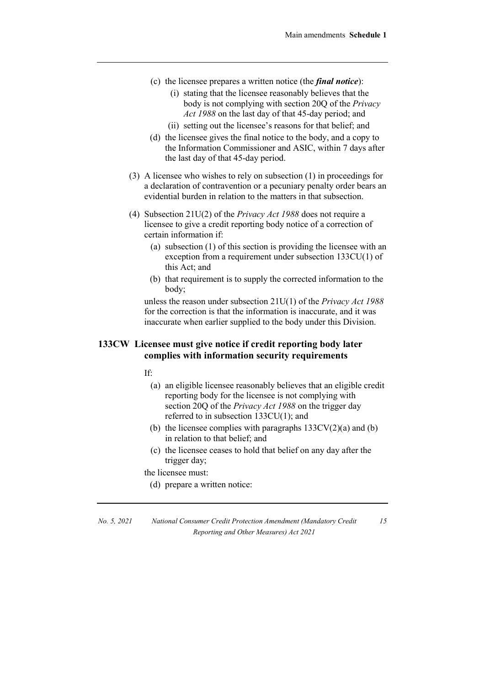- (c) the licensee prepares a written notice (the *final notice*):
	- (i) stating that the licensee reasonably believes that the body is not complying with section 20Q of the *Privacy Act 1988* on the last day of that 45-day period; and
	- (ii) setting out the licensee's reasons for that belief; and
- (d) the licensee gives the final notice to the body, and a copy to the Information Commissioner and ASIC, within 7 days after the last day of that 45-day period.
- (3) A licensee who wishes to rely on subsection (1) in proceedings for a declaration of contravention or a pecuniary penalty order bears an evidential burden in relation to the matters in that subsection.
- (4) Subsection 21U(2) of the *Privacy Act 1988* does not require a licensee to give a credit reporting body notice of a correction of certain information if:
	- (a) subsection (1) of this section is providing the licensee with an exception from a requirement under subsection 133CU(1) of this Act; and
	- (b) that requirement is to supply the corrected information to the body;

unless the reason under subsection 21U(1) of the *Privacy Act 1988* for the correction is that the information is inaccurate, and it was inaccurate when earlier supplied to the body under this Division.

### **133CW Licensee must give notice if credit reporting body later complies with information security requirements**

If:

- (a) an eligible licensee reasonably believes that an eligible credit reporting body for the licensee is not complying with section 20Q of the *Privacy Act 1988* on the trigger day referred to in subsection 133CU(1); and
- (b) the licensee complies with paragraphs  $133CV(2)(a)$  and (b) in relation to that belief; and
- (c) the licensee ceases to hold that belief on any day after the trigger day;

the licensee must:

(d) prepare a written notice:

*No. 5, 2021 National Consumer Credit Protection Amendment (Mandatory Credit Reporting and Other Measures) Act 2021*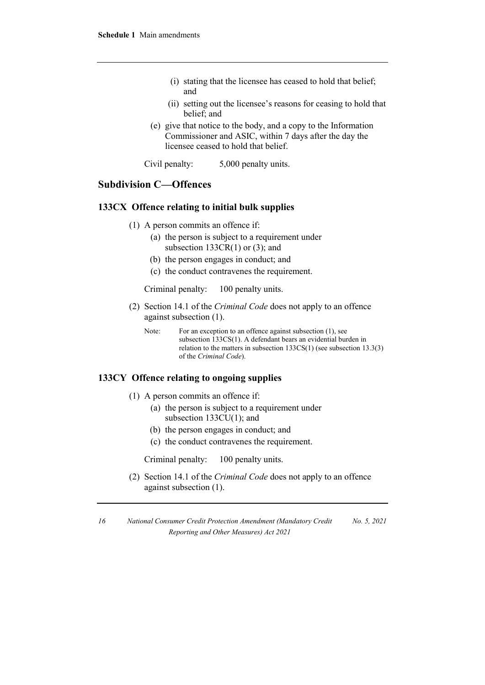- (i) stating that the licensee has ceased to hold that belief; and
- (ii) setting out the licensee's reasons for ceasing to hold that belief; and
- (e) give that notice to the body, and a copy to the Information Commissioner and ASIC, within 7 days after the day the licensee ceased to hold that belief.

Civil penalty: 5,000 penalty units.

# **Subdivision C—Offences**

### **133CX Offence relating to initial bulk supplies**

- (1) A person commits an offence if:
	- (a) the person is subject to a requirement under subsection  $133CR(1)$  or (3); and
	- (b) the person engages in conduct; and
	- (c) the conduct contravenes the requirement.

Criminal penalty: 100 penalty units.

- (2) Section 14.1 of the *Criminal Code* does not apply to an offence against subsection (1).
	- Note: For an exception to an offence against subsection (1), see subsection 133CS(1). A defendant bears an evidential burden in relation to the matters in subsection 133CS(1) (see subsection 13.3(3) of the *Criminal Code*).

### **133CY Offence relating to ongoing supplies**

- (1) A person commits an offence if:
	- (a) the person is subject to a requirement under subsection 133CU(1); and
		- (b) the person engages in conduct; and
		- (c) the conduct contravenes the requirement.

Criminal penalty: 100 penalty units.

(2) Section 14.1 of the *Criminal Code* does not apply to an offence against subsection (1).

*<sup>16</sup> National Consumer Credit Protection Amendment (Mandatory Credit Reporting and Other Measures) Act 2021 No. 5, 2021*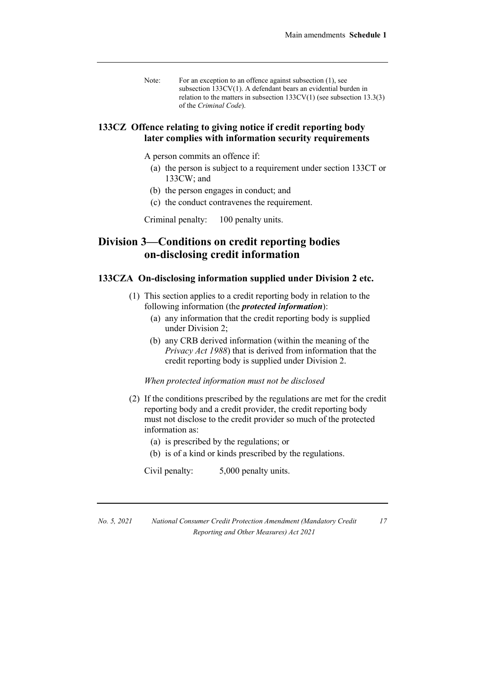Note: For an exception to an offence against subsection (1), see subsection 133CV(1). A defendant bears an evidential burden in relation to the matters in subsection  $133CV(1)$  (see subsection  $13.3(3)$ ) of the *Criminal Code*).

### **133CZ Offence relating to giving notice if credit reporting body later complies with information security requirements**

A person commits an offence if:

- (a) the person is subject to a requirement under section 133CT or 133CW; and
- (b) the person engages in conduct; and
- (c) the conduct contravenes the requirement.

Criminal penalty: 100 penalty units.

# **Division 3—Conditions on credit reporting bodies on-disclosing credit information**

#### **133CZA On-disclosing information supplied under Division 2 etc.**

- (1) This section applies to a credit reporting body in relation to the following information (the *protected information*):
	- (a) any information that the credit reporting body is supplied under Division 2;
	- (b) any CRB derived information (within the meaning of the *Privacy Act 1988*) that is derived from information that the credit reporting body is supplied under Division 2.

#### *When protected information must not be disclosed*

- (2) If the conditions prescribed by the regulations are met for the credit reporting body and a credit provider, the credit reporting body must not disclose to the credit provider so much of the protected information as:
	- (a) is prescribed by the regulations; or
	- (b) is of a kind or kinds prescribed by the regulations.

Civil penalty: 5,000 penalty units.

*No. 5, 2021 National Consumer Credit Protection Amendment (Mandatory Credit Reporting and Other Measures) Act 2021*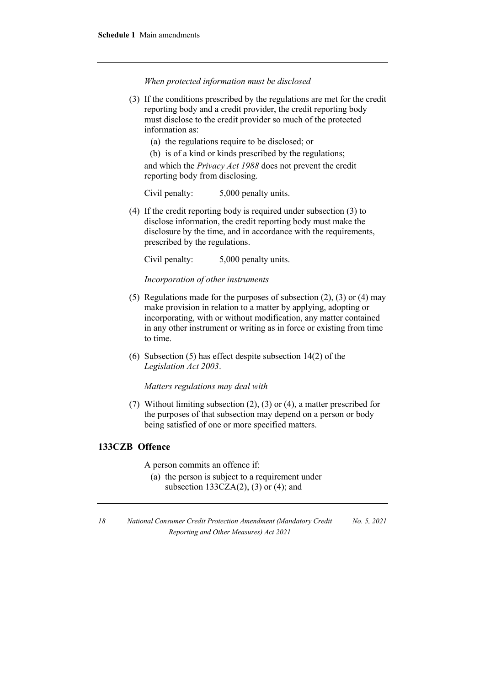*When protected information must be disclosed*

- (3) If the conditions prescribed by the regulations are met for the credit reporting body and a credit provider, the credit reporting body must disclose to the credit provider so much of the protected information as:
	- (a) the regulations require to be disclosed; or

(b) is of a kind or kinds prescribed by the regulations; and which the *Privacy Act 1988* does not prevent the credit reporting body from disclosing.

Civil penalty: 5,000 penalty units.

(4) If the credit reporting body is required under subsection (3) to disclose information, the credit reporting body must make the disclosure by the time, and in accordance with the requirements, prescribed by the regulations.

Civil penalty: 5,000 penalty units.

*Incorporation of other instruments*

- (5) Regulations made for the purposes of subsection (2), (3) or (4) may make provision in relation to a matter by applying, adopting or incorporating, with or without modification, any matter contained in any other instrument or writing as in force or existing from time to time.
- (6) Subsection (5) has effect despite subsection 14(2) of the *Legislation Act 2003*.

*Matters regulations may deal with*

(7) Without limiting subsection (2), (3) or (4), a matter prescribed for the purposes of that subsection may depend on a person or body being satisfied of one or more specified matters.

### **133CZB Offence**

A person commits an offence if:

(a) the person is subject to a requirement under subsection  $133CZA(2)$ ,  $(3)$  or  $(4)$ ; and

*<sup>18</sup> National Consumer Credit Protection Amendment (Mandatory Credit Reporting and Other Measures) Act 2021 No. 5, 2021*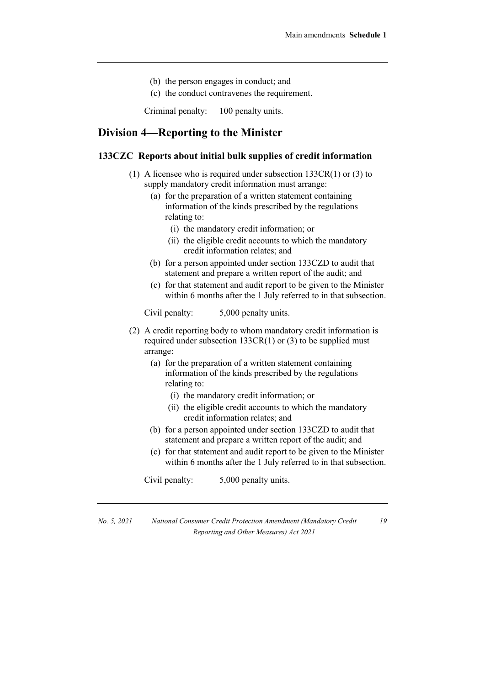- (b) the person engages in conduct; and
- (c) the conduct contravenes the requirement.

Criminal penalty: 100 penalty units.

# **Division 4—Reporting to the Minister**

### **133CZC Reports about initial bulk supplies of credit information**

- (1) A licensee who is required under subsection 133CR(1) or (3) to supply mandatory credit information must arrange:
	- (a) for the preparation of a written statement containing information of the kinds prescribed by the regulations relating to:
		- (i) the mandatory credit information; or
		- (ii) the eligible credit accounts to which the mandatory credit information relates; and
	- (b) for a person appointed under section 133CZD to audit that statement and prepare a written report of the audit; and
	- (c) for that statement and audit report to be given to the Minister within 6 months after the 1 July referred to in that subsection.

Civil penalty: 5,000 penalty units.

- (2) A credit reporting body to whom mandatory credit information is required under subsection  $133CR(1)$  or (3) to be supplied must arrange:
	- (a) for the preparation of a written statement containing information of the kinds prescribed by the regulations relating to:
		- (i) the mandatory credit information; or
		- (ii) the eligible credit accounts to which the mandatory credit information relates; and
	- (b) for a person appointed under section 133CZD to audit that statement and prepare a written report of the audit; and
	- (c) for that statement and audit report to be given to the Minister within 6 months after the 1 July referred to in that subsection.

Civil penalty: 5,000 penalty units.

*No. 5, 2021 National Consumer Credit Protection Amendment (Mandatory Credit Reporting and Other Measures) Act 2021*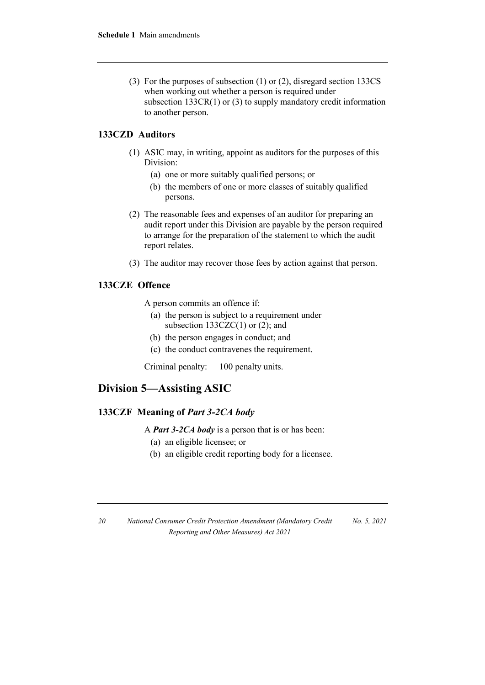(3) For the purposes of subsection (1) or (2), disregard section 133CS when working out whether a person is required under subsection 133CR(1) or (3) to supply mandatory credit information to another person.

### **133CZD Auditors**

- (1) ASIC may, in writing, appoint as auditors for the purposes of this Division:
	- (a) one or more suitably qualified persons; or
	- (b) the members of one or more classes of suitably qualified persons.
- (2) The reasonable fees and expenses of an auditor for preparing an audit report under this Division are payable by the person required to arrange for the preparation of the statement to which the audit report relates.
- (3) The auditor may recover those fees by action against that person.

### **133CZE Offence**

A person commits an offence if:

- (a) the person is subject to a requirement under subsection  $133CZC(1)$  or  $(2)$ ; and
- (b) the person engages in conduct; and
- (c) the conduct contravenes the requirement.

Criminal penalty: 100 penalty units.

# **Division 5—Assisting ASIC**

### **133CZF Meaning of** *Part 3-2CA body*

A *Part 3-2CA body* is a person that is or has been:

- (a) an eligible licensee; or
- (b) an eligible credit reporting body for a licensee.

| 20 | National Consumer Credit Protection Amendment (Mandatory Credit) | No. 5, 2021 |
|----|------------------------------------------------------------------|-------------|
|    | Reporting and Other Measures) Act 2021                           |             |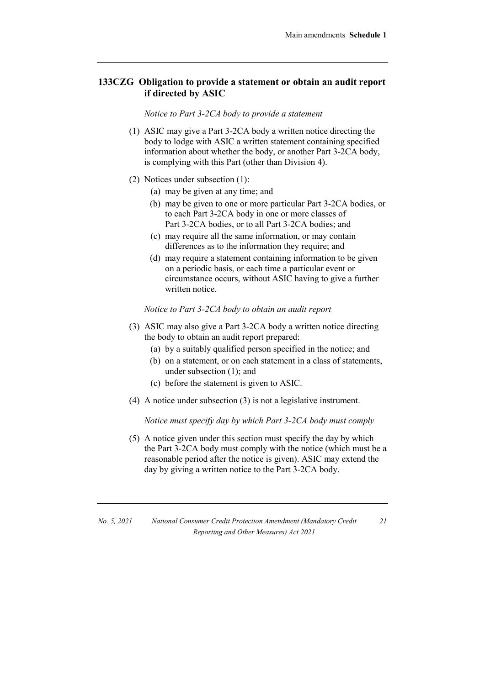### **133CZG Obligation to provide a statement or obtain an audit report if directed by ASIC**

*Notice to Part 3-2CA body to provide a statement*

- (1) ASIC may give a Part 3-2CA body a written notice directing the body to lodge with ASIC a written statement containing specified information about whether the body, or another Part 3-2CA body, is complying with this Part (other than Division 4).
- (2) Notices under subsection (1):
	- (a) may be given at any time; and
	- (b) may be given to one or more particular Part 3-2CA bodies, or to each Part 3-2CA body in one or more classes of Part 3-2CA bodies, or to all Part 3-2CA bodies; and
	- (c) may require all the same information, or may contain differences as to the information they require; and
	- (d) may require a statement containing information to be given on a periodic basis, or each time a particular event or circumstance occurs, without ASIC having to give a further written notice.

*Notice to Part 3-2CA body to obtain an audit report*

- (3) ASIC may also give a Part 3-2CA body a written notice directing the body to obtain an audit report prepared:
	- (a) by a suitably qualified person specified in the notice; and
	- (b) on a statement, or on each statement in a class of statements, under subsection (1); and
	- (c) before the statement is given to ASIC.
- (4) A notice under subsection (3) is not a legislative instrument.

*Notice must specify day by which Part 3-2CA body must comply*

(5) A notice given under this section must specify the day by which the Part 3-2CA body must comply with the notice (which must be a reasonable period after the notice is given). ASIC may extend the day by giving a written notice to the Part 3-2CA body.

*No. 5, 2021 National Consumer Credit Protection Amendment (Mandatory Credit Reporting and Other Measures) Act 2021*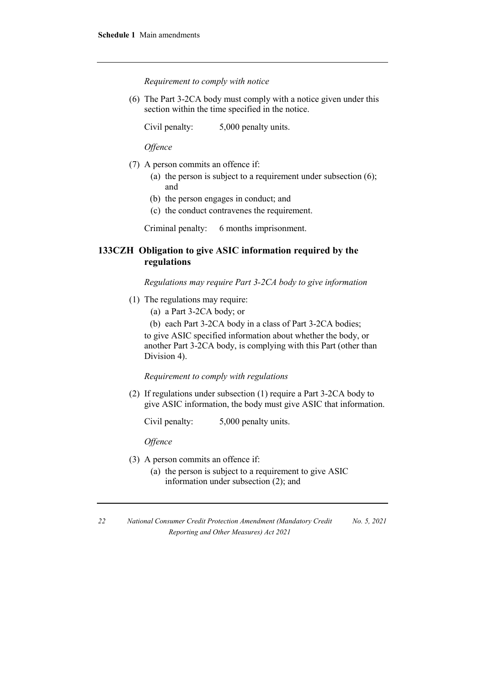*Requirement to comply with notice*

(6) The Part 3-2CA body must comply with a notice given under this section within the time specified in the notice.

Civil penalty: 5,000 penalty units.

*Offence*

- (7) A person commits an offence if:
	- (a) the person is subject to a requirement under subsection (6); and
	- (b) the person engages in conduct; and
	- (c) the conduct contravenes the requirement.

Criminal penalty: 6 months imprisonment.

### **133CZH Obligation to give ASIC information required by the regulations**

*Regulations may require Part 3-2CA body to give information*

- (1) The regulations may require:
	- (a) a Part 3-2CA body; or
	- (b) each Part 3-2CA body in a class of Part 3-2CA bodies;

to give ASIC specified information about whether the body, or another Part 3-2CA body, is complying with this Part (other than Division 4).

*Requirement to comply with regulations*

(2) If regulations under subsection (1) require a Part 3-2CA body to give ASIC information, the body must give ASIC that information.

Civil penalty: 5,000 penalty units.

*Offence*

- (3) A person commits an offence if:
	- (a) the person is subject to a requirement to give ASIC information under subsection (2); and

*<sup>22</sup> National Consumer Credit Protection Amendment (Mandatory Credit Reporting and Other Measures) Act 2021 No. 5, 2021*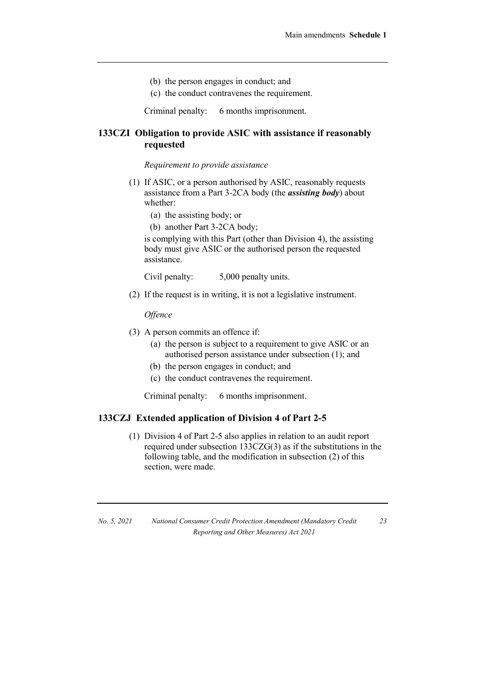- (b) the person engages in conduct; and
- (c) the conduct contravenes the requirement.

Criminal penalty: 6 months imprisonment.

### **133CZI Obligation to provide ASIC with assistance if reasonably requested**

#### *Requirement to provide assistance*

- (1) If ASIC, or a person authorised by ASIC, reasonably requests assistance from a Part 3-2CA body (the *assisting body*) about whether:
	- (a) the assisting body; or
	- (b) another Part 3-2CA body;

is complying with this Part (other than Division 4), the assisting body must give ASIC or the authorised person the requested assistance.

Civil penalty: 5,000 penalty units.

(2) If the request is in writing, it is not a legislative instrument.

*Offence*

- (3) A person commits an offence if:
	- (a) the person is subject to a requirement to give ASIC or an authorised person assistance under subsection (1); and
	- (b) the person engages in conduct; and
	- (c) the conduct contravenes the requirement.

Criminal penalty: 6 months imprisonment.

### **133CZJ Extended application of Division 4 of Part 2-5**

(1) Division 4 of Part 2-5 also applies in relation to an audit report required under subsection 133CZG(3) as if the substitutions in the following table, and the modification in subsection (2) of this section, were made.

*23*

*No. 5, 2021 National Consumer Credit Protection Amendment (Mandatory Credit Reporting and Other Measures) Act 2021*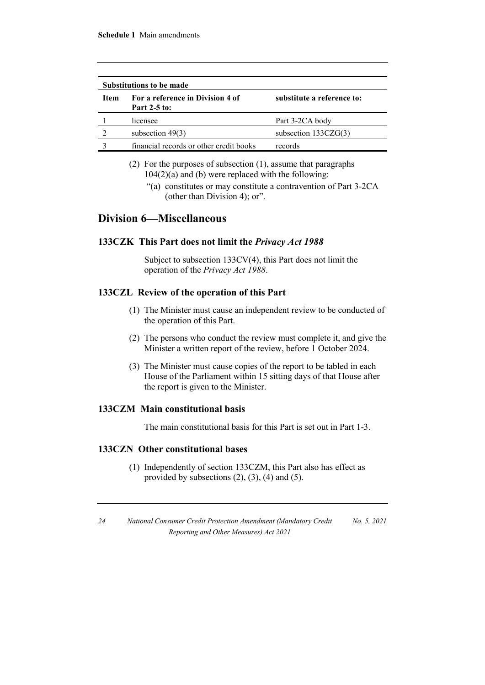| <b>Substitutions to be made</b> |                                                         |                            |
|---------------------------------|---------------------------------------------------------|----------------------------|
| <b>Item</b>                     | For a reference in Division 4 of<br><b>Part 2-5 to:</b> | substitute a reference to: |
|                                 | licensee                                                | Part 3-2CA body            |
|                                 | subsection $49(3)$                                      | subsection $133CZG(3)$     |
|                                 | financial records or other credit books                 | records                    |

- (2) For the purposes of subsection (1), assume that paragraphs  $104(2)(a)$  and (b) were replaced with the following:
	- "(a) constitutes or may constitute a contravention of Part 3-2CA (other than Division 4); or".

### **Division 6—Miscellaneous**

### **133CZK This Part does not limit the** *Privacy Act 1988*

Subject to subsection 133CV(4), this Part does not limit the operation of the *Privacy Act 1988*.

### **133CZL Review of the operation of this Part**

- (1) The Minister must cause an independent review to be conducted of the operation of this Part.
- (2) The persons who conduct the review must complete it, and give the Minister a written report of the review, before 1 October 2024.
- (3) The Minister must cause copies of the report to be tabled in each House of the Parliament within 15 sitting days of that House after the report is given to the Minister.

### **133CZM Main constitutional basis**

The main constitutional basis for this Part is set out in Part 1-3.

### **133CZN Other constitutional bases**

(1) Independently of section 133CZM, this Part also has effect as provided by subsections  $(2)$ ,  $(3)$ ,  $(4)$  and  $(5)$ .

*<sup>24</sup> National Consumer Credit Protection Amendment (Mandatory Credit Reporting and Other Measures) Act 2021 No. 5, 2021*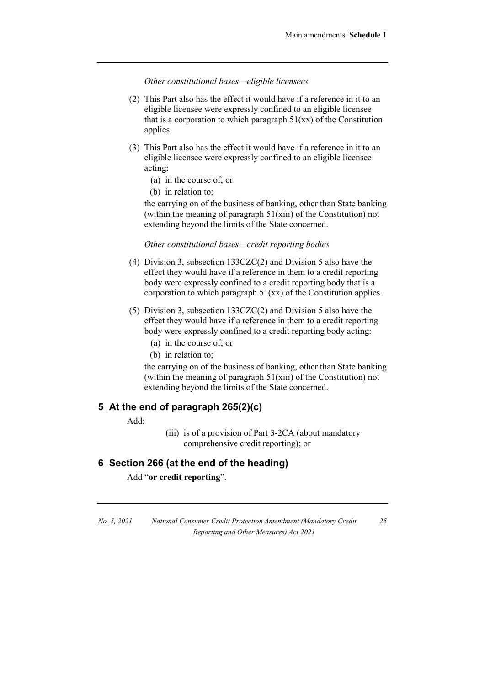*Other constitutional bases—eligible licensees*

- (2) This Part also has the effect it would have if a reference in it to an eligible licensee were expressly confined to an eligible licensee that is a corporation to which paragraph  $51(xx)$  of the Constitution applies.
- (3) This Part also has the effect it would have if a reference in it to an eligible licensee were expressly confined to an eligible licensee acting:
	- (a) in the course of; or
	- (b) in relation to:

the carrying on of the business of banking, other than State banking (within the meaning of paragraph 51(xiii) of the Constitution) not extending beyond the limits of the State concerned.

### *Other constitutional bases—credit reporting bodies*

- (4) Division 3, subsection 133CZC(2) and Division 5 also have the effect they would have if a reference in them to a credit reporting body were expressly confined to a credit reporting body that is a corporation to which paragraph 51(xx) of the Constitution applies.
- (5) Division 3, subsection 133CZC(2) and Division 5 also have the effect they would have if a reference in them to a credit reporting body were expressly confined to a credit reporting body acting:
	- (a) in the course of; or
	- (b) in relation to;

the carrying on of the business of banking, other than State banking (within the meaning of paragraph  $51(xiii)$  of the Constitution) not extending beyond the limits of the State concerned.

### **5 At the end of paragraph 265(2)(c)**

Add:

(iii) is of a provision of Part 3-2CA (about mandatory comprehensive credit reporting); or

### **6 Section 266 (at the end of the heading)**

Add "**or credit reporting**".

*No. 5, 2021 National Consumer Credit Protection Amendment (Mandatory Credit Reporting and Other Measures) Act 2021*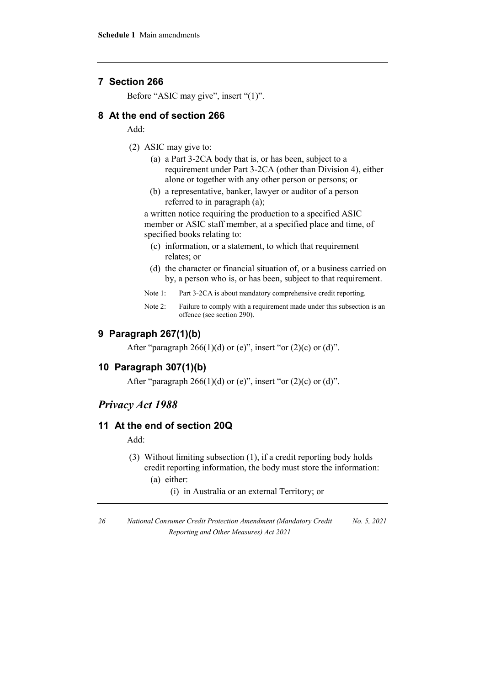### **7 Section 266**

Before "ASIC may give", insert "(1)".

### **8 At the end of section 266**

Add:

- (2) ASIC may give to:
	- (a) a Part 3-2CA body that is, or has been, subject to a requirement under Part 3-2CA (other than Division 4), either alone or together with any other person or persons; or
	- (b) a representative, banker, lawyer or auditor of a person referred to in paragraph (a);

a written notice requiring the production to a specified ASIC member or ASIC staff member, at a specified place and time, of specified books relating to:

- (c) information, or a statement, to which that requirement relates; or
- (d) the character or financial situation of, or a business carried on by, a person who is, or has been, subject to that requirement.
- Note 1: Part 3-2CA is about mandatory comprehensive credit reporting.
- Note 2: Failure to comply with a requirement made under this subsection is an offence (see section 290).

### **9 Paragraph 267(1)(b)**

After "paragraph  $266(1)(d)$  or (e)", insert "or (2)(c) or (d)".

### **10 Paragraph 307(1)(b)**

After "paragraph  $266(1)(d)$  or (e)", insert "or  $(2)(c)$  or  $(d)$ ".

### *Privacy Act 1988*

### **11 At the end of section 20Q**

Add:

- (3) Without limiting subsection (1), if a credit reporting body holds credit reporting information, the body must store the information:
	- (a) either:
		- (i) in Australia or an external Territory; or

*<sup>26</sup> National Consumer Credit Protection Amendment (Mandatory Credit Reporting and Other Measures) Act 2021 No. 5, 2021*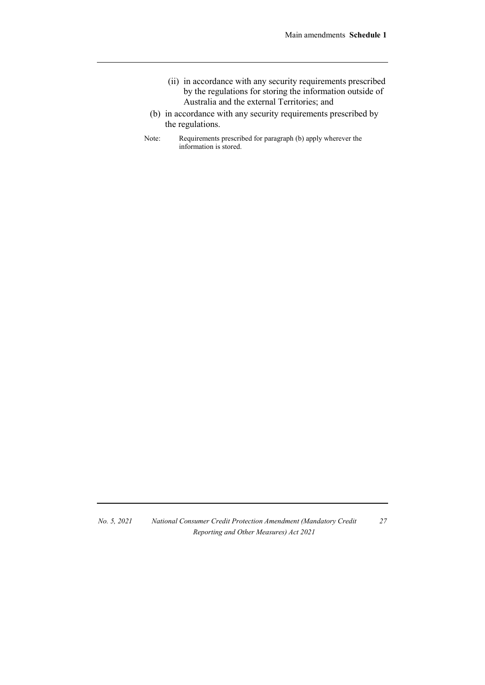- (ii) in accordance with any security requirements prescribed by the regulations for storing the information outside of Australia and the external Territories; and
- (b) in accordance with any security requirements prescribed by the regulations.
- Note: Requirements prescribed for paragraph (b) apply wherever the information is stored.

*No. 5, 2021 National Consumer Credit Protection Amendment (Mandatory Credit Reporting and Other Measures) Act 2021*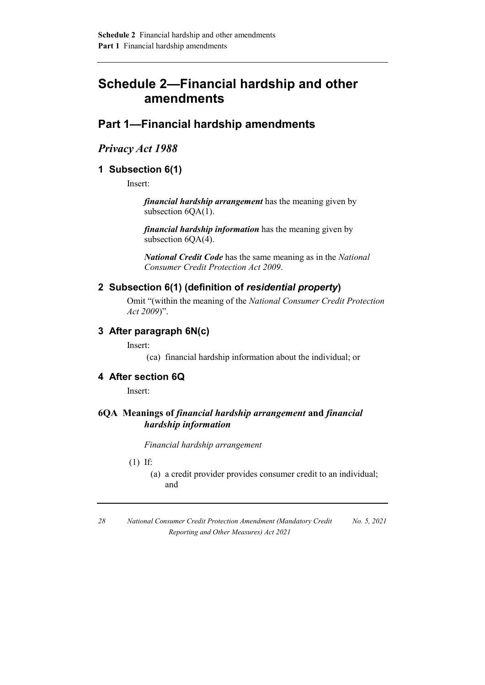# **Schedule 2—Financial hardship and other amendments**

# **Part 1—Financial hardship amendments**

### *Privacy Act 1988*

### **1 Subsection 6(1)**

Insert:

*financial hardship arrangement* has the meaning given by subsection  $6QA(1)$ .

*financial hardship information* has the meaning given by subsection  $6QA(4)$ .

*National Credit Code* has the same meaning as in the *National Consumer Credit Protection Act 2009*.

### **2 Subsection 6(1) (definition of** *residential property***)**

Omit "(within the meaning of the *National Consumer Credit Protection Act 2009*)".

### **3 After paragraph 6N(c)**

Insert:

(ca) financial hardship information about the individual; or

### **4 After section 6Q**

Insert:

### **6QA Meanings of** *financial hardship arrangement* **and** *financial hardship information*

*Financial hardship arrangement*

(1) If:

(a) a credit provider provides consumer credit to an individual; and

*<sup>28</sup> National Consumer Credit Protection Amendment (Mandatory Credit Reporting and Other Measures) Act 2021 No. 5, 2021*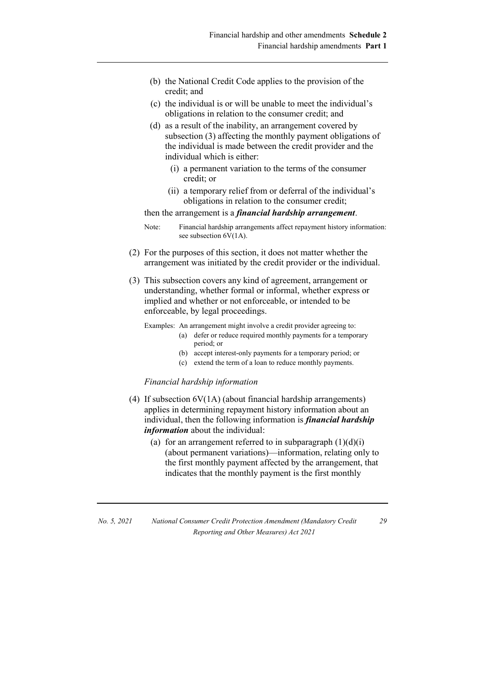- (b) the National Credit Code applies to the provision of the credit; and
- (c) the individual is or will be unable to meet the individual's obligations in relation to the consumer credit; and
- (d) as a result of the inability, an arrangement covered by subsection (3) affecting the monthly payment obligations of the individual is made between the credit provider and the individual which is either:
	- (i) a permanent variation to the terms of the consumer credit; or
	- (ii) a temporary relief from or deferral of the individual's obligations in relation to the consumer credit;

then the arrangement is a *financial hardship arrangement*.

- (2) For the purposes of this section, it does not matter whether the arrangement was initiated by the credit provider or the individual.
- (3) This subsection covers any kind of agreement, arrangement or understanding, whether formal or informal, whether express or implied and whether or not enforceable, or intended to be enforceable, by legal proceedings.

Examples: An arrangement might involve a credit provider agreeing to:

- (a) defer or reduce required monthly payments for a temporary period; or
- (b) accept interest-only payments for a temporary period; or
- (c) extend the term of a loan to reduce monthly payments.

#### *Financial hardship information*

- (4) If subsection 6V(1A) (about financial hardship arrangements) applies in determining repayment history information about an individual, then the following information is *financial hardship information* about the individual:
	- (a) for an arrangement referred to in subparagraph  $(1)(d)(i)$ (about permanent variations)—information, relating only to the first monthly payment affected by the arrangement, that indicates that the monthly payment is the first monthly

| No. 5, 2021 | National Consumer Credit Protection Amendment (Mandatory Credit |
|-------------|-----------------------------------------------------------------|
|             | Reporting and Other Measures) Act 2021                          |

Note: Financial hardship arrangements affect repayment history information: see subsection  $6\overline{V}(1A)$ .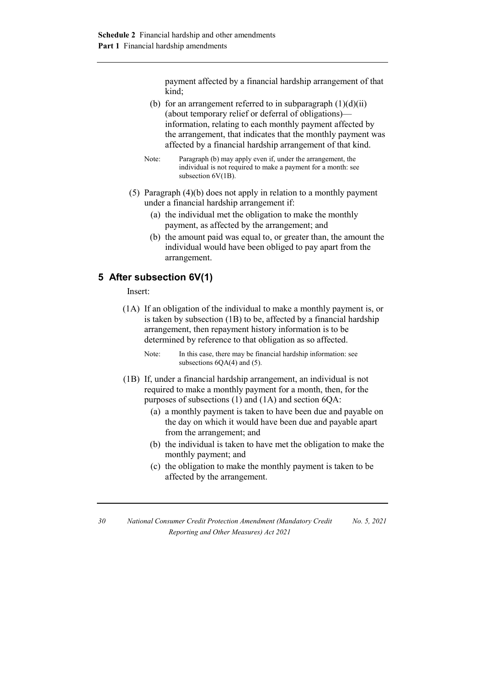payment affected by a financial hardship arrangement of that kind;

- (b) for an arrangement referred to in subparagraph  $(1)(d)(ii)$ (about temporary relief or deferral of obligations) information, relating to each monthly payment affected by the arrangement, that indicates that the monthly payment was affected by a financial hardship arrangement of that kind.
- Note: Paragraph (b) may apply even if, under the arrangement, the individual is not required to make a payment for a month: see subsection 6V(1B).
- (5) Paragraph (4)(b) does not apply in relation to a monthly payment under a financial hardship arrangement if:
	- (a) the individual met the obligation to make the monthly payment, as affected by the arrangement; and
	- (b) the amount paid was equal to, or greater than, the amount the individual would have been obliged to pay apart from the arrangement.

### **5 After subsection 6V(1)**

### Insert:

- (1A) If an obligation of the individual to make a monthly payment is, or is taken by subsection (1B) to be, affected by a financial hardship arrangement, then repayment history information is to be determined by reference to that obligation as so affected.
	- Note: In this case, there may be financial hardship information: see subsections  $6QA(4)$  and  $(5)$ .
- (1B) If, under a financial hardship arrangement, an individual is not required to make a monthly payment for a month, then, for the purposes of subsections (1) and (1A) and section 6QA:
	- (a) a monthly payment is taken to have been due and payable on the day on which it would have been due and payable apart from the arrangement; and
	- (b) the individual is taken to have met the obligation to make the monthly payment; and
	- (c) the obligation to make the monthly payment is taken to be affected by the arrangement.

*<sup>30</sup> National Consumer Credit Protection Amendment (Mandatory Credit Reporting and Other Measures) Act 2021 No. 5, 2021*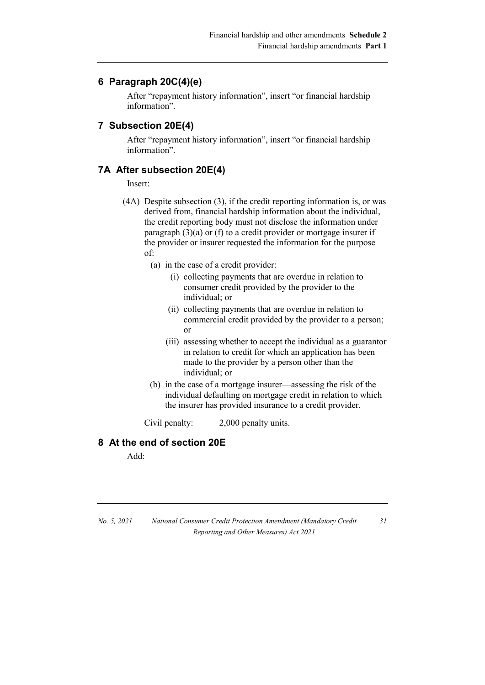### **6 Paragraph 20C(4)(e)**

After "repayment history information", insert "or financial hardship information".

### **7 Subsection 20E(4)**

After "repayment history information", insert "or financial hardship information".

### **7A After subsection 20E(4)**

Insert:

- (4A) Despite subsection (3), if the credit reporting information is, or was derived from, financial hardship information about the individual, the credit reporting body must not disclose the information under paragraph (3)(a) or (f) to a credit provider or mortgage insurer if the provider or insurer requested the information for the purpose of:
	- (a) in the case of a credit provider:
		- (i) collecting payments that are overdue in relation to consumer credit provided by the provider to the individual; or
		- (ii) collecting payments that are overdue in relation to commercial credit provided by the provider to a person; or
		- (iii) assessing whether to accept the individual as a guarantor in relation to credit for which an application has been made to the provider by a person other than the individual; or

*31*

(b) in the case of a mortgage insurer—assessing the risk of the individual defaulting on mortgage credit in relation to which the insurer has provided insurance to a credit provider.

Civil penalty: 2,000 penalty units.

# **8 At the end of section 20E**

Add:

| No. 5, 2021 | National Consumer Credit Protection Amendment (Mandatory Credit |  |
|-------------|-----------------------------------------------------------------|--|
|             | Reporting and Other Measures) Act 2021                          |  |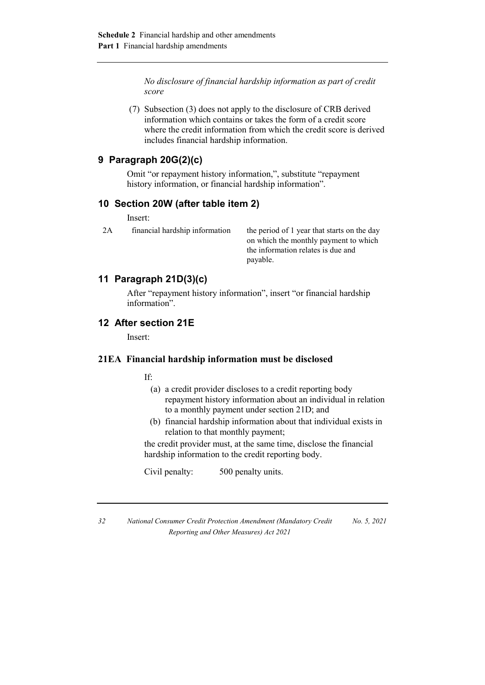*No disclosure of financial hardship information as part of credit score*

(7) Subsection (3) does not apply to the disclosure of CRB derived information which contains or takes the form of a credit score where the credit information from which the credit score is derived includes financial hardship information.

# **9 Paragraph 20G(2)(c)**

Omit "or repayment history information,", substitute "repayment history information, or financial hardship information".

### **10 Section 20W (after table item 2)**

Insert:

2A financial hardship information the period of 1 year that starts on the day on which the monthly payment to which the information relates is due and payable.

# **11 Paragraph 21D(3)(c)**

After "repayment history information", insert "or financial hardship information".

# **12 After section 21E**

Insert:

### **21EA Financial hardship information must be disclosed**

If:

- (a) a credit provider discloses to a credit reporting body repayment history information about an individual in relation to a monthly payment under section 21D; and
- (b) financial hardship information about that individual exists in relation to that monthly payment;

the credit provider must, at the same time, disclose the financial hardship information to the credit reporting body.

Civil penalty: 500 penalty units.

*32 National Consumer Credit Protection Amendment (Mandatory Credit Reporting and Other Measures) Act 2021 No. 5, 2021*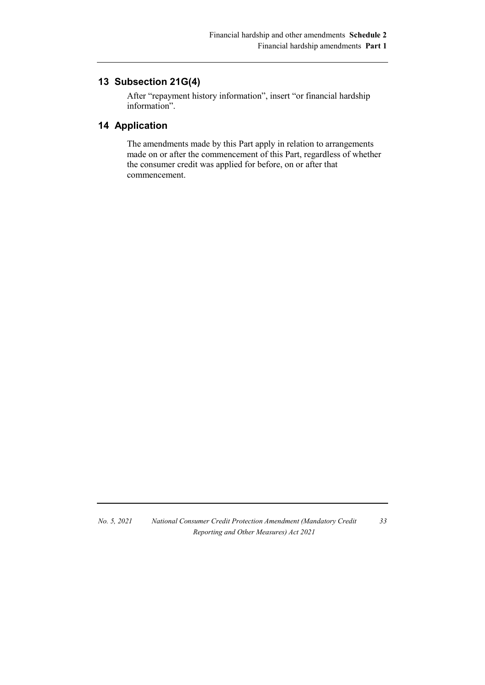# **13 Subsection 21G(4)**

After "repayment history information", insert "or financial hardship information".

# **14 Application**

The amendments made by this Part apply in relation to arrangements made on or after the commencement of this Part, regardless of whether the consumer credit was applied for before, on or after that commencement.

*No. 5, 2021 National Consumer Credit Protection Amendment (Mandatory Credit Reporting and Other Measures) Act 2021*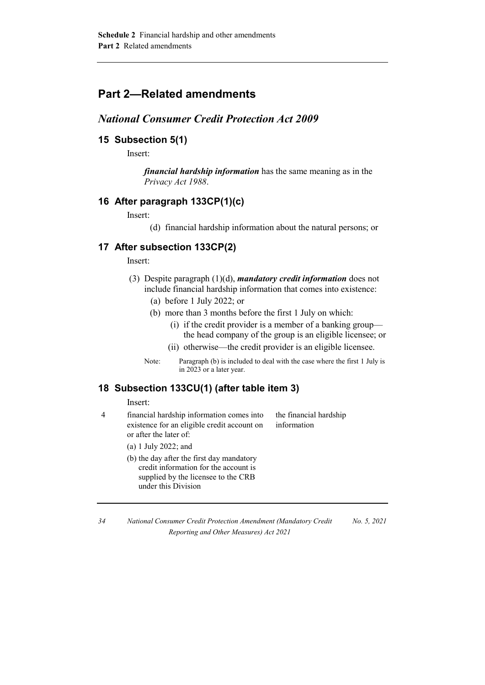# **Part 2—Related amendments**

# *National Consumer Credit Protection Act 2009*

### **15 Subsection 5(1)**

Insert:

*financial hardship information* has the same meaning as in the *Privacy Act 1988*.

### **16 After paragraph 133CP(1)(c)**

Insert:

(d) financial hardship information about the natural persons; or

# **17 After subsection 133CP(2)**

Insert:

- (3) Despite paragraph (1)(d), *mandatory credit information* does not include financial hardship information that comes into existence:
	- (a) before 1 July 2022; or
	- (b) more than 3 months before the first 1 July on which:
		- (i) if the credit provider is a member of a banking group the head company of the group is an eligible licensee; or
		- (ii) otherwise—the credit provider is an eligible licensee.
	- Note: Paragraph (b) is included to deal with the case where the first 1 July is in 2023 or a later year.

### **18 Subsection 133CU(1) (after table item 3)**

Insert:

4 financial hardship information comes into existence for an eligible credit account on or after the later of:

the financial hardship information

- (a) 1 July 2022; and
- (b) the day after the first day mandatory credit information for the account is supplied by the licensee to the CRB under this Division

*<sup>34</sup> National Consumer Credit Protection Amendment (Mandatory Credit Reporting and Other Measures) Act 2021 No. 5, 2021*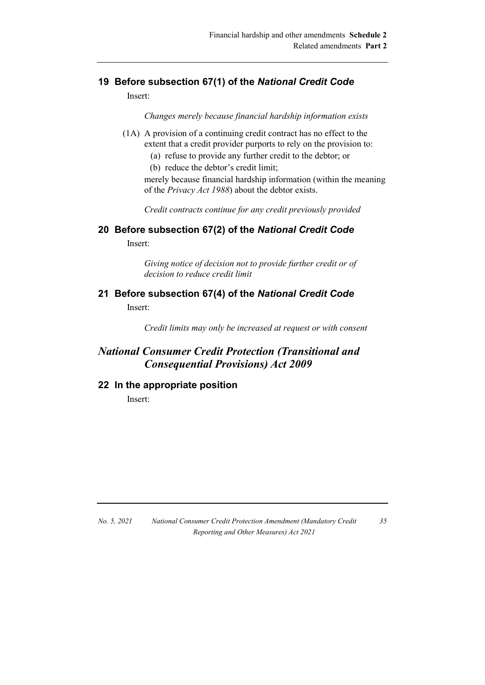# **19 Before subsection 67(1) of the** *National Credit Code*

Insert:

*Changes merely because financial hardship information exists*

- (1A) A provision of a continuing credit contract has no effect to the extent that a credit provider purports to rely on the provision to:
	- (a) refuse to provide any further credit to the debtor; or
	- (b) reduce the debtor's credit limit;

merely because financial hardship information (within the meaning of the *Privacy Act 1988*) about the debtor exists.

*Credit contracts continue for any credit previously provided*

### **20 Before subsection 67(2) of the** *National Credit Code*

Insert:

*Giving notice of decision not to provide further credit or of decision to reduce credit limit*

# **21 Before subsection 67(4) of the** *National Credit Code* Insert:

*Credit limits may only be increased at request or with consent*

# *National Consumer Credit Protection (Transitional and Consequential Provisions) Act 2009*

### **22 In the appropriate position**

Insert:

*No. 5, 2021 National Consumer Credit Protection Amendment (Mandatory Credit Reporting and Other Measures) Act 2021*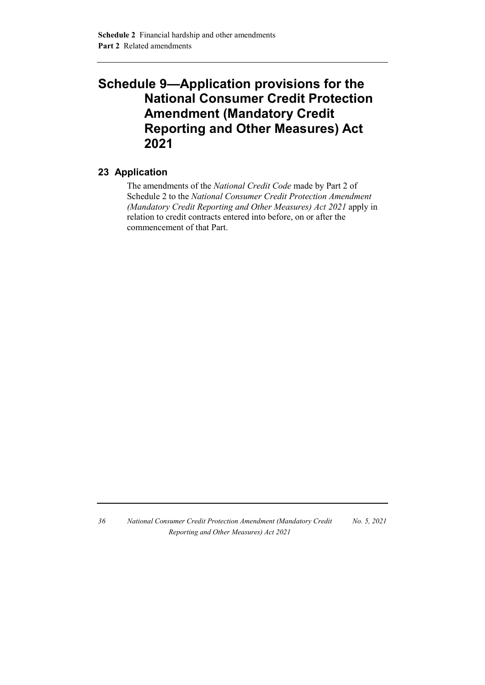# **Schedule 9—Application provisions for the National Consumer Credit Protection Amendment (Mandatory Credit Reporting and Other Measures) Act 2021**

# **23 Application**

The amendments of the *National Credit Code* made by Part 2 of Schedule 2 to the *National Consumer Credit Protection Amendment (Mandatory Credit Reporting and Other Measures) Act 2021* apply in relation to credit contracts entered into before, on or after the commencement of that Part.

*36 National Consumer Credit Protection Amendment (Mandatory Credit Reporting and Other Measures) Act 2021 No. 5, 2021*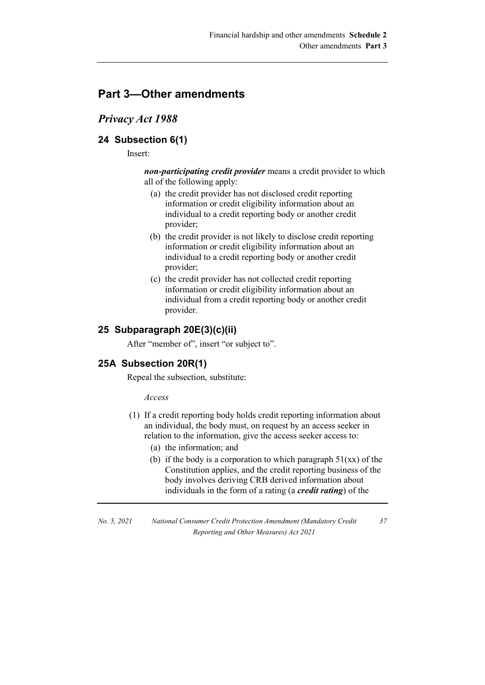# **Part 3—Other amendments**

# *Privacy Act 1988*

# **24 Subsection 6(1)**

Insert:

*non-participating credit provider* means a credit provider to which all of the following apply:

- (a) the credit provider has not disclosed credit reporting information or credit eligibility information about an individual to a credit reporting body or another credit provider;
- (b) the credit provider is not likely to disclose credit reporting information or credit eligibility information about an individual to a credit reporting body or another credit provider;
- (c) the credit provider has not collected credit reporting information or credit eligibility information about an individual from a credit reporting body or another credit provider.

# **25 Subparagraph 20E(3)(c)(ii)**

After "member of", insert "or subject to".

### **25A Subsection 20R(1)**

Repeal the subsection, substitute:

*Access*

- (1) If a credit reporting body holds credit reporting information about an individual, the body must, on request by an access seeker in relation to the information, give the access seeker access to:
	- (a) the information; and
	- (b) if the body is a corporation to which paragraph  $51(xx)$  of the Constitution applies, and the credit reporting business of the body involves deriving CRB derived information about individuals in the form of a rating (a *credit rating*) of the

*No. 5, 2021 National Consumer Credit Protection Amendment (Mandatory Credit Reporting and Other Measures) Act 2021*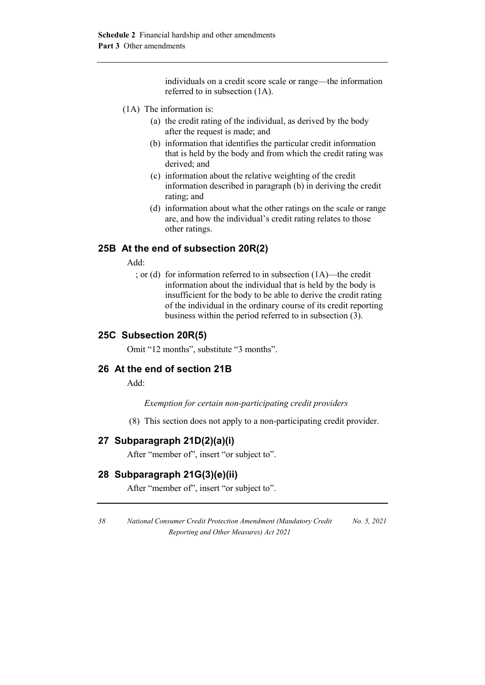individuals on a credit score scale or range—the information referred to in subsection (1A).

- (1A) The information is:
	- (a) the credit rating of the individual, as derived by the body after the request is made; and
	- (b) information that identifies the particular credit information that is held by the body and from which the credit rating was derived; and
	- (c) information about the relative weighting of the credit information described in paragraph (b) in deriving the credit rating; and
	- (d) information about what the other ratings on the scale or range are, and how the individual's credit rating relates to those other ratings.

### **25B At the end of subsection 20R(2)**

Add:

; or (d) for information referred to in subsection (1A)—the credit information about the individual that is held by the body is insufficient for the body to be able to derive the credit rating of the individual in the ordinary course of its credit reporting business within the period referred to in subsection (3).

### **25C Subsection 20R(5)**

Omit "12 months", substitute "3 months".

# **26 At the end of section 21B**

Add:

*Exemption for certain non-participating credit providers*

(8) This section does not apply to a non-participating credit provider.

# **27 Subparagraph 21D(2)(a)(i)**

After "member of", insert "or subject to".

### **28 Subparagraph 21G(3)(e)(ii)**

After "member of", insert "or subject to".

*<sup>38</sup> National Consumer Credit Protection Amendment (Mandatory Credit Reporting and Other Measures) Act 2021 No. 5, 2021*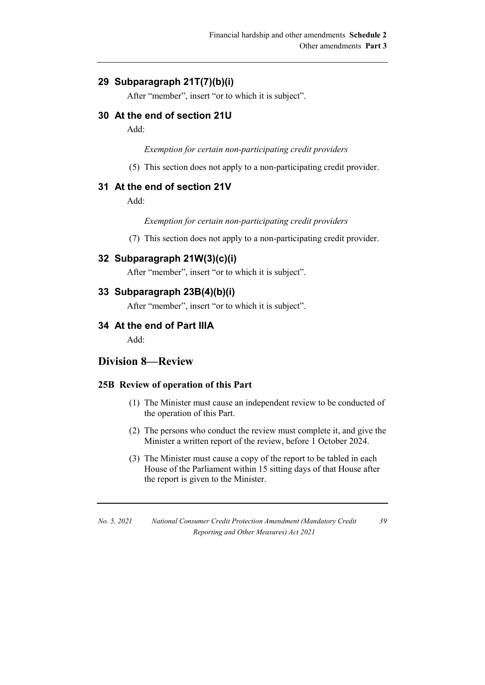# **29 Subparagraph 21T(7)(b)(i)**

After "member", insert "or to which it is subject".

### **30 At the end of section 21U**

Add:

*Exemption for certain non-participating credit providers*

(5) This section does not apply to a non-participating credit provider.

### **31 At the end of section 21V**

Add:

*Exemption for certain non-participating credit providers*

(7) This section does not apply to a non-participating credit provider.

### **32 Subparagraph 21W(3)(c)(i)**

After "member", insert "or to which it is subject".

### **33 Subparagraph 23B(4)(b)(i)**

After "member", insert "or to which it is subject".

### **34 At the end of Part IIIA**

Add:

# **Division 8—Review**

### **25B Review of operation of this Part**

- (1) The Minister must cause an independent review to be conducted of the operation of this Part.
- (2) The persons who conduct the review must complete it, and give the Minister a written report of the review, before 1 October 2024.
- (3) The Minister must cause a copy of the report to be tabled in each House of the Parliament within 15 sitting days of that House after the report is given to the Minister.

*No. 5, 2021 National Consumer Credit Protection Amendment (Mandatory Credit Reporting and Other Measures) Act 2021*